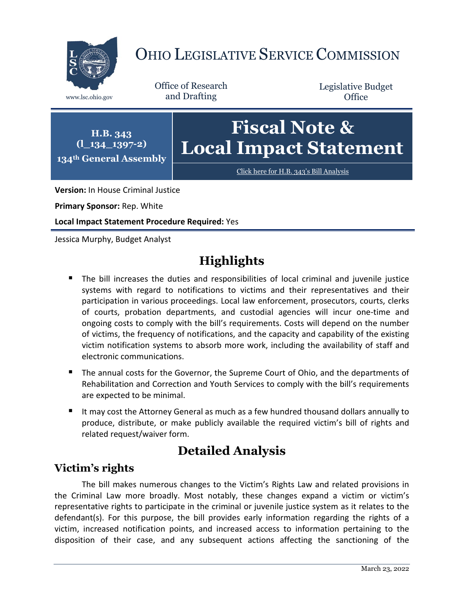

# OHIO LEGISLATIVE SERVICE COMMISSION

Office of Research www.lsc.ohio.gov and Drafting

Legislative Budget **Office** 



**Version:** In House Criminal Justice

**Primary Sponsor:** Rep. White

**Local Impact Statement Procedure Required:** Yes

Jessica Murphy, Budget Analyst

# **Highlights**

- The bill increases the duties and responsibilities of local criminal and juvenile justice systems with regard to notifications to victims and their representatives and their participation in various proceedings. Local law enforcement, prosecutors, courts, clerks of courts, probation departments, and custodial agencies will incur one-time and ongoing costs to comply with the bill's requirements. Costs will depend on the number of victims, the frequency of notifications, and the capacity and capability of the existing victim notification systems to absorb more work, including the availability of staff and electronic communications.
- The annual costs for the Governor, the Supreme Court of Ohio, and the departments of Rehabilitation and Correction and Youth Services to comply with the bill's requirements are expected to be minimal.
- It may cost the Attorney General as much as a few hundred thousand dollars annually to produce, distribute, or make publicly available the required victim's bill of rights and related request/waiver form.

# **Detailed Analysis**

# **Victim's rights**

The bill makes numerous changes to the Victim's Rights Law and related provisions in the Criminal Law more broadly. Most notably, these changes expand a victim or victim's representative rights to participate in the criminal or juvenile justice system as it relates to the defendant(s). For this purpose, the bill provides early information regarding the rights of a victim, increased notification points, and increased access to information pertaining to the disposition of their case, and any subsequent actions affecting the sanctioning of the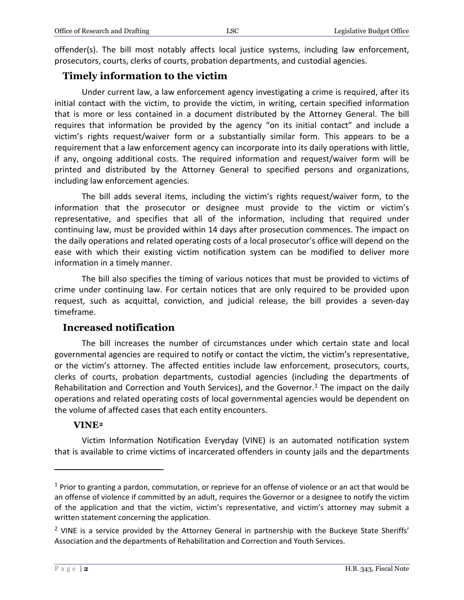offender(s). The bill most notably affects local justice systems, including law enforcement, prosecutors, courts, clerks of courts, probation departments, and custodial agencies.

#### **Timely information to the victim**

Under current law, a law enforcement agency investigating a crime is required, after its initial contact with the victim, to provide the victim, in writing, certain specified information that is more or less contained in a document distributed by the Attorney General. The bill requires that information be provided by the agency "on its initial contact" and include a victim's rights request/waiver form or a substantially similar form. This appears to be a requirement that a law enforcement agency can incorporate into its daily operations with little, if any, ongoing additional costs. The required information and request/waiver form will be printed and distributed by the Attorney General to specified persons and organizations, including law enforcement agencies.

The bill adds several items, including the victim's rights request/waiver form, to the information that the prosecutor or designee must provide to the victim or victim's representative, and specifies that all of the information, including that required under continuing law, must be provided within 14 days after prosecution commences. The impact on the daily operations and related operating costs of a local prosecutor's office will depend on the ease with which their existing victim notification system can be modified to deliver more information in a timely manner.

The bill also specifies the timing of various notices that must be provided to victims of crime under continuing law. For certain notices that are only required to be provided upon request, such as acquittal, conviction, and judicial release, the bill provides a seven-day timeframe.

#### **Increased notification**

The bill increases the number of circumstances under which certain state and local governmental agencies are required to notify or contact the victim, the victim's representative, or the victim's attorney. The affected entities include law enforcement, prosecutors, courts, clerks of courts, probation departments, custodial agencies (including the departments of Rehabilitation and Correction and Youth Services), and the Governor. [1](#page-1-0) The impact on the daily operations and related operating costs of local governmental agencies would be dependent on the volume of affected cases that each entity encounters.

#### **VINE[2](#page-1-1)**

Victim Information Notification Everyday (VINE) is an automated notification system that is available to crime victims of incarcerated offenders in county jails and the departments

 $\overline{a}$ 

<span id="page-1-0"></span> $1$  Prior to granting a pardon, commutation, or reprieve for an offense of violence or an act that would be an offense of violence if committed by an adult, requires the Governor or a designee to notify the victim of the application and that the victim, victim's representative, and victim's attorney may submit a written statement concerning the application.

<span id="page-1-1"></span> $2$  VINE is a service provided by the Attorney General in partnership with the Buckeye State Sheriffs' Association and the departments of Rehabilitation and Correction and Youth Services.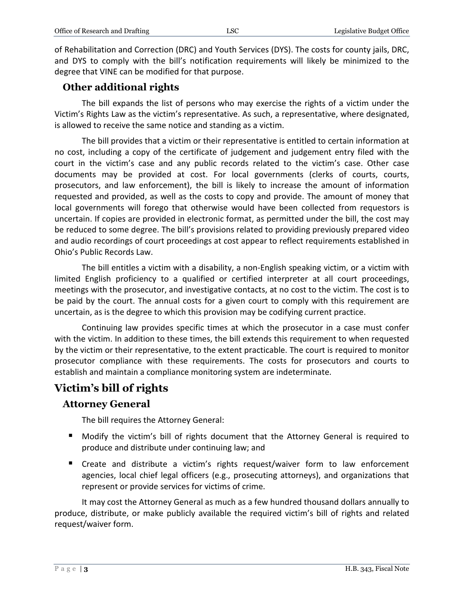of Rehabilitation and Correction (DRC) and Youth Services (DYS). The costs for county jails, DRC, and DYS to comply with the bill's notification requirements will likely be minimized to the degree that VINE can be modified for that purpose.

#### **Other additional rights**

The bill expands the list of persons who may exercise the rights of a victim under the Victim's Rights Law as the victim's representative. As such, a representative, where designated, is allowed to receive the same notice and standing as a victim.

The bill provides that a victim or their representative is entitled to certain information at no cost, including a copy of the certificate of judgement and judgement entry filed with the court in the victim's case and any public records related to the victim's case. Other case documents may be provided at cost. For local governments (clerks of courts, courts, prosecutors, and law enforcement), the bill is likely to increase the amount of information requested and provided, as well as the costs to copy and provide. The amount of money that local governments will forego that otherwise would have been collected from requestors is uncertain. If copies are provided in electronic format, as permitted under the bill, the cost may be reduced to some degree. The bill's provisions related to providing previously prepared video and audio recordings of court proceedings at cost appear to reflect requirements established in Ohio's Public Records Law.

The bill entitles a victim with a disability, a non-English speaking victim, or a victim with limited English proficiency to a qualified or certified interpreter at all court proceedings, meetings with the prosecutor, and investigative contacts, at no cost to the victim. The cost is to be paid by the court. The annual costs for a given court to comply with this requirement are uncertain, as is the degree to which this provision may be codifying current practice.

Continuing law provides specific times at which the prosecutor in a case must confer with the victim. In addition to these times, the bill extends this requirement to when requested by the victim or their representative, to the extent practicable. The court is required to monitor prosecutor compliance with these requirements. The costs for prosecutors and courts to establish and maintain a compliance monitoring system are indeterminate.

### **Victim's bill of rights**

#### **Attorney General**

The bill requires the Attorney General:

- Modify the victim's bill of rights document that the Attorney General is required to produce and distribute under continuing law; and
- Create and distribute a victim's rights request/waiver form to law enforcement agencies, local chief legal officers (e.g., prosecuting attorneys), and organizations that represent or provide services for victims of crime.

It may cost the Attorney General as much as a few hundred thousand dollars annually to produce, distribute, or make publicly available the required victim's bill of rights and related request/waiver form.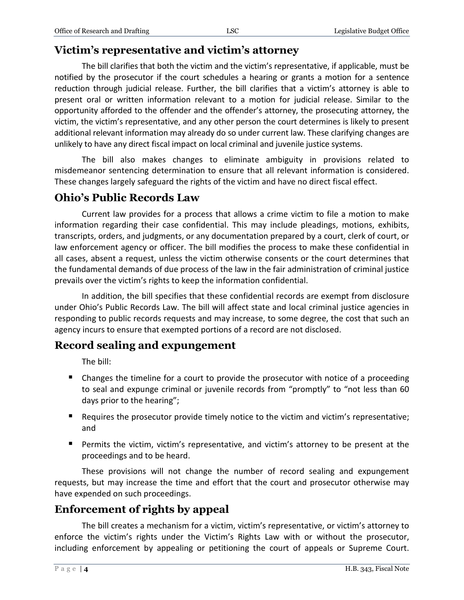## **Victim's representative and victim's attorney**

The bill clarifies that both the victim and the victim's representative, if applicable, must be notified by the prosecutor if the court schedules a hearing or grants a motion for a sentence reduction through judicial release. Further, the bill clarifies that a victim's attorney is able to present oral or written information relevant to a motion for judicial release. Similar to the opportunity afforded to the offender and the offender's attorney, the prosecuting attorney, the victim, the victim's representative, and any other person the court determines is likely to present additional relevant information may already do so under current law. These clarifying changes are unlikely to have any direct fiscal impact on local criminal and juvenile justice systems.

The bill also makes changes to eliminate ambiguity in provisions related to misdemeanor sentencing determination to ensure that all relevant information is considered. These changes largely safeguard the rights of the victim and have no direct fiscal effect.

#### **Ohio's Public Records Law**

Current law provides for a process that allows a crime victim to file a motion to make information regarding their case confidential. This may include pleadings, motions, exhibits, transcripts, orders, and judgments, or any documentation prepared by a court, clerk of court, or law enforcement agency or officer. The bill modifies the process to make these confidential in all cases, absent a request, unless the victim otherwise consents or the court determines that the fundamental demands of due process of the law in the fair administration of criminal justice prevails over the victim's rights to keep the information confidential.

In addition, the bill specifies that these confidential records are exempt from disclosure under Ohio's Public Records Law. The bill will affect state and local criminal justice agencies in responding to public records requests and may increase, to some degree, the cost that such an agency incurs to ensure that exempted portions of a record are not disclosed.

### **Record sealing and expungement**

The bill:

- Changes the timeline for a court to provide the prosecutor with notice of a proceeding to seal and expunge criminal or juvenile records from "promptly" to "not less than 60 days prior to the hearing";
- Requires the prosecutor provide timely notice to the victim and victim's representative; and
- Permits the victim, victim's representative, and victim's attorney to be present at the proceedings and to be heard.

These provisions will not change the number of record sealing and expungement requests, but may increase the time and effort that the court and prosecutor otherwise may have expended on such proceedings.

### **Enforcement of rights by appeal**

The bill creates a mechanism for a victim, victim's representative, or victim's attorney to enforce the victim's rights under the Victim's Rights Law with or without the prosecutor, including enforcement by appealing or petitioning the court of appeals or Supreme Court.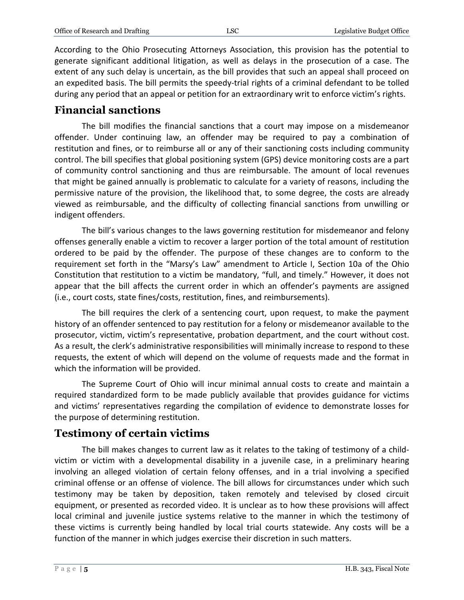According to the Ohio Prosecuting Attorneys Association, this provision has the potential to generate significant additional litigation, as well as delays in the prosecution of a case. The extent of any such delay is uncertain, as the bill provides that such an appeal shall proceed on an expedited basis. The bill permits the speedy-trial rights of a criminal defendant to be tolled during any period that an appeal or petition for an extraordinary writ to enforce victim's rights.

## **Financial sanctions**

The bill modifies the financial sanctions that a court may impose on a misdemeanor offender. Under continuing law, an offender may be required to pay a combination of restitution and fines, or to reimburse all or any of their sanctioning costs including community control. The bill specifies that global positioning system (GPS) device monitoring costs are a part of community control sanctioning and thus are reimbursable. The amount of local revenues that might be gained annually is problematic to calculate for a variety of reasons, including the permissive nature of the provision, the likelihood that, to some degree, the costs are already viewed as reimbursable, and the difficulty of collecting financial sanctions from unwilling or indigent offenders.

The bill's various changes to the laws governing restitution for misdemeanor and felony offenses generally enable a victim to recover a larger portion of the total amount of restitution ordered to be paid by the offender. The purpose of these changes are to conform to the requirement set forth in the "Marsy's Law" amendment to Article I, Section 10a of the Ohio Constitution that restitution to a victim be mandatory, "full, and timely." However, it does not appear that the bill affects the current order in which an offender's payments are assigned (i.e., court costs, state fines/costs, restitution, fines, and reimbursements).

The bill requires the clerk of a sentencing court, upon request, to make the payment history of an offender sentenced to pay restitution for a felony or misdemeanor available to the prosecutor, victim, victim's representative, probation department, and the court without cost. As a result, the clerk's administrative responsibilities will minimally increase to respond to these requests, the extent of which will depend on the volume of requests made and the format in which the information will be provided.

The Supreme Court of Ohio will incur minimal annual costs to create and maintain a required standardized form to be made publicly available that provides guidance for victims and victims' representatives regarding the compilation of evidence to demonstrate losses for the purpose of determining restitution.

### **Testimony of certain victims**

The bill makes changes to current law as it relates to the taking of testimony of a childvictim or victim with a developmental disability in a juvenile case, in a preliminary hearing involving an alleged violation of certain felony offenses, and in a trial involving a specified criminal offense or an offense of violence. The bill allows for circumstances under which such testimony may be taken by deposition, taken remotely and televised by closed circuit equipment, or presented as recorded video. It is unclear as to how these provisions will affect local criminal and juvenile justice systems relative to the manner in which the testimony of these victims is currently being handled by local trial courts statewide. Any costs will be a function of the manner in which judges exercise their discretion in such matters.